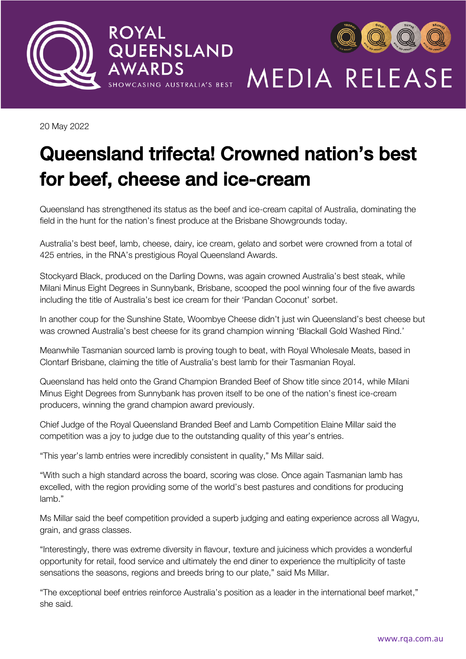



20 May 2022

# Queensland trifecta! Crowned nation's best<br>for beef, cheese and ice-cream for bee<sub>f</sub>, cheese and ice-cream-

Queensland has strengthened its status as the beef and ice-cream capital of Australia, dominating the field in the hunt for the nation's finest produce at the Brisbane Showgrounds today.

Australia's best beef, lamb, cheese, dairy, ice cream, gelato and sorbet were crowned from a total of 425 entries, in the RNA's prestigious Royal Queensland Awards.

Stockyard Black, produced on the Darling Downs, was again crowned Australia's best steak, while Milani Minus Eight Degrees in Sunnybank, Brisbane, scooped the pool winning four of the five awards including the title of Australia's best ice cream for their 'Pandan Coconut' sorbet.

In another coup for the Sunshine State, Woombye Cheese didn't just win Queensland's best cheese but was crowned Australia's best cheese for its grand champion winning 'Blackall Gold Washed Rind.'

Meanwhile Tasmanian sourced lamb is proving tough to beat, with Royal Wholesale Meats, based in Clontarf Brisbane, claiming the title of Australia's best lamb for their Tasmanian Royal.

Queensland has held onto the Grand Champion Branded Beef of Show title since 2014, while Milani Minus Eight Degrees from Sunnybank has proven itself to be one of the nation's finest ice-cream producers, winning the grand champion award previously.

Chief Judge of the Royal Queensland Branded Beef and Lamb Competition Elaine Millar said the competition was a joy to judge due to the outstanding quality of this year's entries.

"This year's lamb entries were incredibly consistent in quality," Ms Millar said.

"With such a high standard across the board, scoring was close. Once again Tasmanian lamb has excelled, with the region providing some of the world's best pastures and conditions for producing lamb."

Ms Millar said the beef competition provided a superb judging and eating experience across all Wagyu, grain, and grass classes.

"Interestingly, there was extreme diversity in flavour, texture and juiciness which provides a wonderful opportunity for retail, food service and ultimately the end diner to experience the multiplicity of taste sensations the seasons, regions and breeds bring to our plate," said Ms Millar.

"The exceptional beef entries reinforce Australia's position as a leader in the international beef market," she said.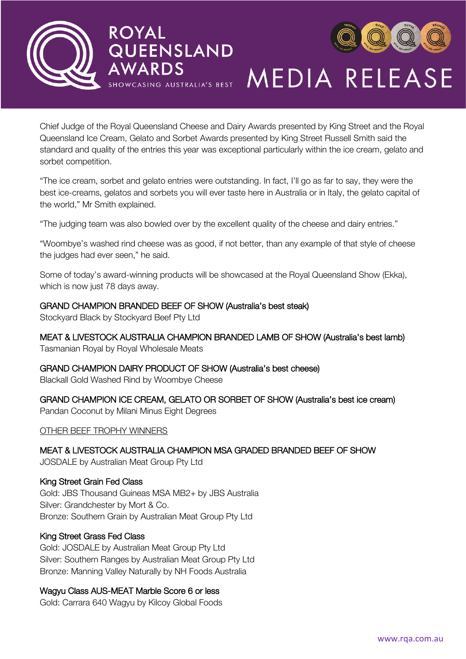



Chief Judge of the Royal Queensland Cheese and Dairy Awards presented by King Street and the Royal Queensland Ice Cream, Gelato and Sorbet Awards presented by King Street Russell Smith said the standard and quality of the entries this year was exceptional particularly within the ice cream, gelato and sorbet competition.

"The ice cream, sorbet and gelato entries were outstanding. In fact, I'll go as far to say, they were the best ice-creams, gelatos and sorbets you will ever taste here in Australia or in Italy, the gelato capital of the world," Mr Smith explained.

"The judging team was also bowled over by the excellent quality of the cheese and dairy entries."

"Woombye's washed rind cheese was as good, if not better, than any example of that style of cheese the judges had ever seen," he said.

Some of today's award-winning products will be showcased at the Royal Queensland Show (Ekka), which is now just 78 days away.

### GRAND CHAMPION BRANDED BEEF OF SHOW (Australia's best steak)

Stockyard Black by Stockyard Beef Pty Ltd

MEAT & LIVESTOCK AUSTRALIA CHAMPION BRANDED LAMB OF SHOW (Australia's best lamb)

Tasmanian Royal by Royal Wholesale Meats

GRAND CHAMPION DAIRY PRODUCT OF SHOW (Australia's best cheese) Blackall Gold Washed Rind by Woombye Cheese

GRAND CHAMPION ICE CREAM, GELATO OR SORBET OF SHOW (Australia's best ice cream) Pandan Coconut by Milani Minus Eight Degrees

OTHER BEEF TROPHY WINNERS

MEAT & LIVESTOCK AUSTRALIA CHAMPION MSA GRADED BRANDED BEEF OF SHOW

JOSDALE by Australian Meat Group Pty Ltd

#### King Street Grain Fed Class

Gold: JBS Thousand Guineas MSA MB2+ by JBS Australia Silver: Grandchester by Mort & Co. Bronze: Southern Grain by Australian Meat Group Pty Ltd

### King Street Grass Fed Class

Gold: JOSDALE by Australian Meat Group Pty Ltd Silver: Southern Ranges by Australian Meat Group Pty Ltd Bronze: Manning Valley Naturally by NH Foods Australia

### Wagyu Class AUS-MEAT Marble Score 6 or less

Gold: Carrara 640 Wagyu by Kilcoy Global Foods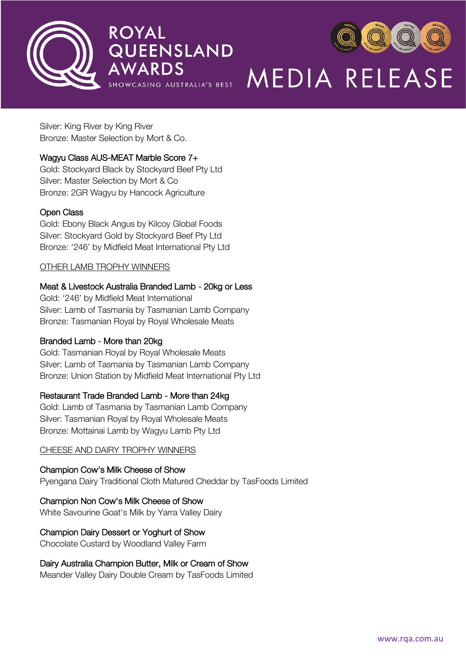



Silver: King River by King River Bronze: Master Selection by Mort & Co.

### Wagyu Class AUS-MEAT Marble Score 7+

Gold: Stockyard Black by Stockyard Beef Pty Ltd Silver: Master Selection by Mort & Co Bronze: 2GR Wagyu by Hancock Agriculture

### Open Class

Gold: Ebony Black Angus by Kilcoy Global Foods Silver: Stockyard Gold by Stockyard Beef Pty Ltd Bronze: '246' by Midfield Meat International Pty Ltd

### OTHER LAMB TROPHY WINNERS

### Meat & Livestock Australia Branded Lamb - 20kg or Less

Gold: '246' by Midfield Meat International Silver: Lamb of Tasmania by Tasmanian Lamb Company Bronze: Tasmanian Royal by Royal Wholesale Meats

### Branded Lamb - More than 20kg

Gold: Tasmanian Royal by Royal Wholesale Meats Silver: Lamb of Tasmania by Tasmanian Lamb Company Bronze: Union Station by Midfield Meat International Pty Ltd

### Restaurant Trade Branded Lamb - More than 24kg

Gold: Lamb of Tasmania by Tasmanian Lamb Company Silver: Tasmanian Royal by Royal Wholesale Meats Bronze: Mottainai Lamb by Wagyu Lamb Pty Ltd

### CHEESE AND DAIRY TROPHY WINNERS

### Champion Cow's Milk Cheese of Show

Pyengana Dairy Traditional Cloth Matured Cheddar by TasFoods Limited

### Champion Non Cow's Milk Cheese of Show

White Savourine Goat's Milk by Yarra Valley Dairy

### Champion Dairy Dessert or Yoghurt of Show

Chocolate Custard by Woodland Valley Farm

### Dairy Australia Champion Butter, Milk or Cream of Show

Meander Valley Dairy Double Cream by TasFoods Limited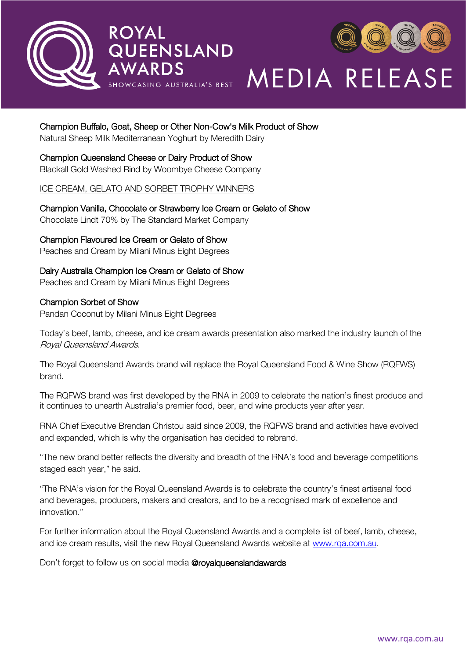



### Champion Buffalo, Goat, Sheep or Other Non-Cow's Milk Product of Show

Natural Sheep Milk Mediterranean Yoghurt by Meredith Dairy

#### Champion Queensland Cheese or Dairy Product of Show

Blackall Gold Washed Rind by Woombye Cheese Company

#### ICE CREAM, GELATO AND SORBET TROPHY WINNERS

Champion Vanilla, Chocolate or Strawberry Ice Cream or Gelato of Show

Chocolate Lindt 70% by The Standard Market Company

### Champion Flavoured Ice Cream or Gelato of Show

Peaches and Cream by Milani Minus Eight Degrees

### Dairy Australia Champion Ice Cream or Gelato of Show

Peaches and Cream by Milani Minus Eight Degrees

#### Champion Sorbet of Show

Pandan Coconut by Milani Minus Eight Degrees

Today's beef, lamb, cheese, and ice cream awards presentation also marked the industry launch of the Royal Queensland Awards.

The Royal Queensland Awards brand will replace the Royal Queensland Food & Wine Show (RQFWS) brand.

The RQFWS brand was first developed by the RNA in 2009 to celebrate the nation's finest produce and it continues to unearth Australia's premier food, beer, and wine products year after year.

RNA Chief Executive Brendan Christou said since 2009, the RQFWS brand and activities have evolved and expanded, which is why the organisation has decided to rebrand.

"The new brand better reflects the diversity and breadth of the RNA's food and beverage competitions staged each year," he said.

"The RNA's vision for the Royal Queensland Awards is to celebrate the country's finest artisanal food and beverages, producers, makers and creators, and to be a recognised mark of excellence and innovation."

For further information about the Royal Queensland Awards and a complete list of beef, lamb, cheese, and ice cream results, visit the new Royal Queensland Awards website at [www.rqa.com.au.](http://www.rqa.com.au/)

Don't forget to follow us on social media @royalqueenslandawards